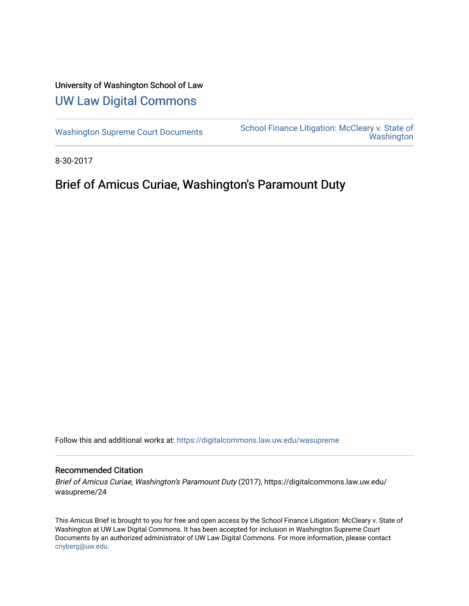# University of Washington School of Law [UW Law Digital Commons](https://digitalcommons.law.uw.edu/)

[Washington Supreme Court Documents](https://digitalcommons.law.uw.edu/wasupreme) School Finance Litigation: McCleary v. State of **Washington** 

8-30-2017

# Brief of Amicus Curiae, Washington's Paramount Duty

Follow this and additional works at: [https://digitalcommons.law.uw.edu/wasupreme](https://digitalcommons.law.uw.edu/wasupreme?utm_source=digitalcommons.law.uw.edu%2Fwasupreme%2F24&utm_medium=PDF&utm_campaign=PDFCoverPages) 

#### Recommended Citation

Brief of Amicus Curiae, Washington's Paramount Duty (2017), https://digitalcommons.law.uw.edu/ wasupreme/24

This Amicus Brief is brought to you for free and open access by the School Finance Litigation: McCleary v. State of Washington at UW Law Digital Commons. It has been accepted for inclusion in Washington Supreme Court Documents by an authorized administrator of UW Law Digital Commons. For more information, please contact [cnyberg@uw.edu](mailto:cnyberg@uw.edu).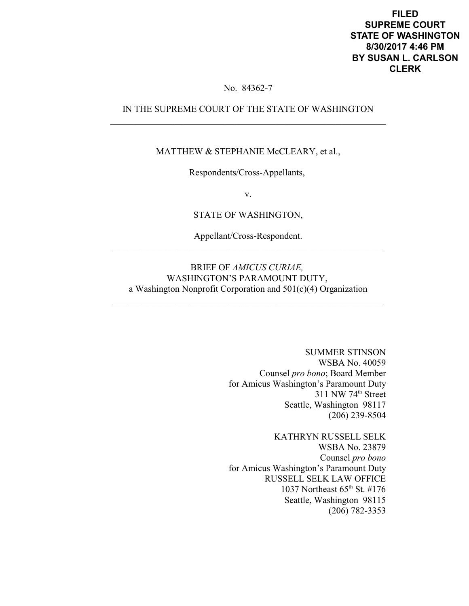**FILED SUPREME COURT STATE OF WASHINGTON 8/30/2017 4:46 PM BY SUSAN L. CARLSON CLERK**

### No. 84362-7

## IN THE SUPREME COURT OF THE STATE OF WASHINGTON \_\_\_\_\_\_\_\_\_\_\_\_\_\_\_\_\_\_\_\_\_\_\_\_\_\_\_\_\_\_\_\_\_\_\_\_\_\_\_\_\_\_\_\_\_\_\_\_\_\_\_\_\_\_\_\_\_\_\_\_

#### MATTHEW & STEPHANIE McCLEARY, et al.,

Respondents/Cross-Appellants,

v.

STATE OF WASHINGTON,

Appellant/Cross-Respondent. \_\_\_\_\_\_\_\_\_\_\_\_\_\_\_\_\_\_\_\_\_\_\_\_\_\_\_\_\_\_\_\_\_\_\_\_\_\_\_\_\_\_\_\_\_\_\_\_\_\_\_\_\_\_\_\_\_\_\_

### BRIEF OF *AMICUS CURIAE,* WASHINGTON'S PARAMOUNT DUTY, a Washington Nonprofit Corporation and 501(c)(4) Organization

\_\_\_\_\_\_\_\_\_\_\_\_\_\_\_\_\_\_\_\_\_\_\_\_\_\_\_\_\_\_\_\_\_\_\_\_\_\_\_\_\_\_\_\_\_\_\_\_\_\_\_\_\_\_\_\_\_\_\_

SUMMER STINSON WSBA No. 40059 Counsel *pro bono*; Board Member for Amicus Washington's Paramount Duty  $311$  NW  $74<sup>th</sup>$  Street Seattle, Washington 98117 (206) 239-8504

KATHRYN RUSSELL SELK WSBA No. 23879 Counsel *pro bono* for Amicus Washington's Paramount Duty RUSSELL SELK LAW OFFICE 1037 Northeast 65<sup>th</sup> St. #176 Seattle, Washington 98115 (206) 782-3353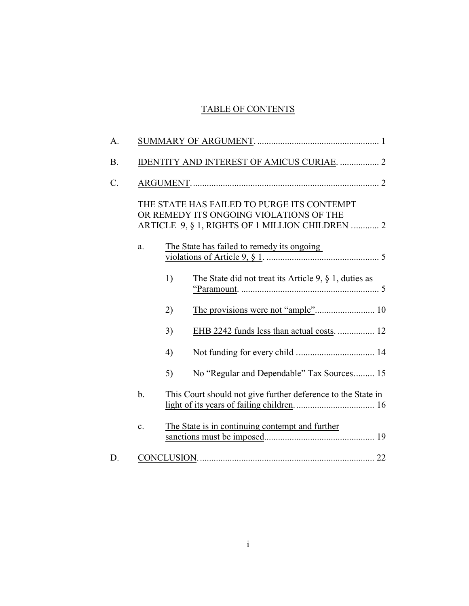## TABLE OF CONTENTS

|    |                                                 | IDENTITY AND INTEREST OF AMICUS CURIAE.  2                                            |  |
|----|-------------------------------------------------|---------------------------------------------------------------------------------------|--|
|    |                                                 |                                                                                       |  |
|    |                                                 | THE STATE HAS FAILED TO PURGE ITS CONTEMPT<br>OR REMEDY ITS ONGOING VIOLATIONS OF THE |  |
|    |                                                 | ARTICLE 9, § 1, RIGHTS OF 1 MILLION CHILDREN  2                                       |  |
| a. |                                                 | The State has failed to remedy its ongoing                                            |  |
|    | 1)                                              | The State did not treat its Article 9, $\S$ 1, duties as                              |  |
|    | 2)                                              |                                                                                       |  |
|    | 3)                                              | EHB 2242 funds less than actual costs.  12                                            |  |
|    | 4)                                              |                                                                                       |  |
|    | 5)                                              | No "Regular and Dependable" Tax Sources 15                                            |  |
| b. |                                                 | This Court should not give further deference to the State in                          |  |
| c. | The State is in continuing contempt and further |                                                                                       |  |
|    |                                                 |                                                                                       |  |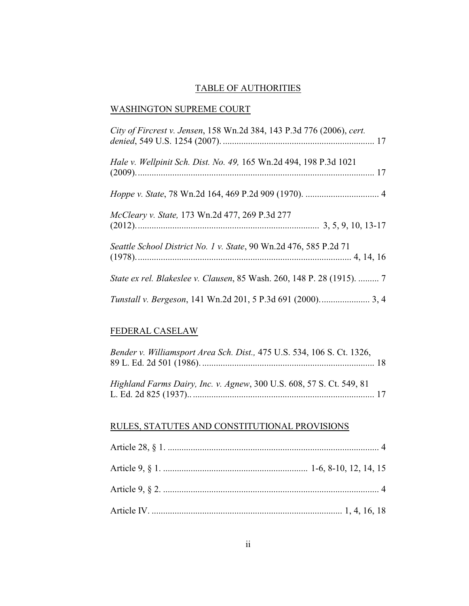## TABLE OF AUTHORITIES

## WASHINGTON SUPREME COURT

| City of Fircrest v. Jensen, 158 Wn.2d 384, 143 P.3d 776 (2006), cert.  |
|------------------------------------------------------------------------|
| Hale v. Wellpinit Sch. Dist. No. 49, 165 Wn.2d 494, 198 P.3d 1021      |
|                                                                        |
| McCleary v. State, 173 Wn.2d 477, 269 P.3d 277                         |
| Seattle School District No. 1 v. State, 90 Wn.2d 476, 585 P.2d 71      |
| State ex rel. Blakeslee v. Clausen, 85 Wash. 260, 148 P. 28 (1915).  7 |
|                                                                        |

## FEDERAL CASELAW

| Bender v. Williamsport Area Sch. Dist., 475 U.S. 534, 106 S. Ct. 1326, |  |
|------------------------------------------------------------------------|--|
| Highland Farms Dairy, Inc. v. Agnew, 300 U.S. 608, 57 S. Ct. 549, 81   |  |

## RULES, STATUTES AND CONSTITUTIONAL PROVISIONS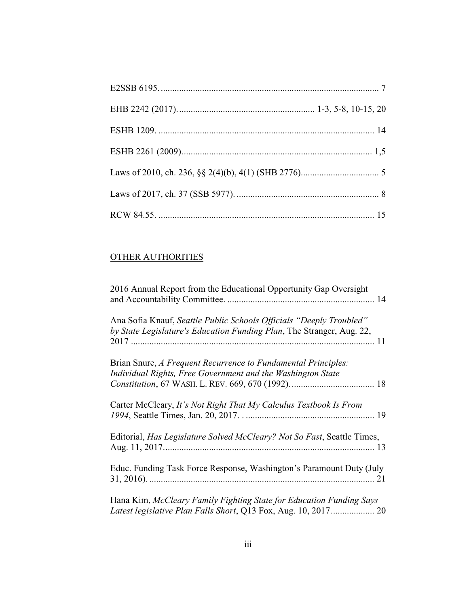## OTHER AUTHORITIES

| 2016 Annual Report from the Educational Opportunity Gap Oversight                                                                            |
|----------------------------------------------------------------------------------------------------------------------------------------------|
| Ana Sofia Knauf, Seattle Public Schools Officials "Deeply Troubled"<br>by State Legislature's Education Funding Plan, The Stranger, Aug. 22, |
| Brian Snure, A Frequent Recurrence to Fundamental Principles:<br>Individual Rights, Free Government and the Washington State                 |
| Carter McCleary, It's Not Right That My Calculus Textbook Is From                                                                            |
| Editorial, <i>Has Legislature Solved McCleary? Not So Fast</i> , Seattle Times,                                                              |
| Educ. Funding Task Force Response, Washington's Paramount Duty (July                                                                         |
| Hana Kim, McCleary Family Fighting State for Education Funding Says<br>Latest legislative Plan Falls Short, Q13 Fox, Aug. 10, 2017 20        |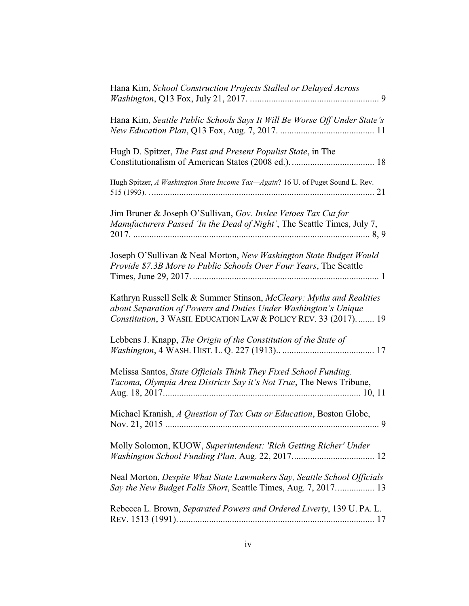| Hana Kim, School Construction Projects Stalled or Delayed Across                                                                                                                                          |
|-----------------------------------------------------------------------------------------------------------------------------------------------------------------------------------------------------------|
| Hana Kim, Seattle Public Schools Says It Will Be Worse Off Under State's                                                                                                                                  |
| Hugh D. Spitzer, The Past and Present Populist State, in The                                                                                                                                              |
| Hugh Spitzer, A Washington State Income Tax-Again? 16 U. of Puget Sound L. Rev.                                                                                                                           |
| Jim Bruner & Joseph O'Sullivan, Gov. Inslee Vetoes Tax Cut for<br>Manufacturers Passed 'In the Dead of Night', The Seattle Times, July 7,                                                                 |
| Joseph O'Sullivan & Neal Morton, New Washington State Budget Would<br>Provide \$7.3B More to Public Schools Over Four Years, The Seattle                                                                  |
| Kathryn Russell Selk & Summer Stinson, McCleary: Myths and Realities<br>about Separation of Powers and Duties Under Washington's Unique<br>Constitution, 3 WASH. EDUCATION LAW & POLICY REV. 33 (2017) 19 |
| Lebbens J. Knapp, The Origin of the Constitution of the State of                                                                                                                                          |
| Melissa Santos, State Officials Think They Fixed School Funding.<br>Tacoma, Olympia Area Districts Say it's Not True, The News Tribune,                                                                   |
| Michael Kranish, A Question of Tax Cuts or Education, Boston Globe,<br>9                                                                                                                                  |
| Molly Solomon, KUOW, Superintendent: 'Rich Getting Richer' Under                                                                                                                                          |
| Neal Morton, Despite What State Lawmakers Say, Seattle School Officials<br>Say the New Budget Falls Short, Seattle Times, Aug. 7, 2017 13                                                                 |
| Rebecca L. Brown, Separated Powers and Ordered Liverty, 139 U. PA. L.                                                                                                                                     |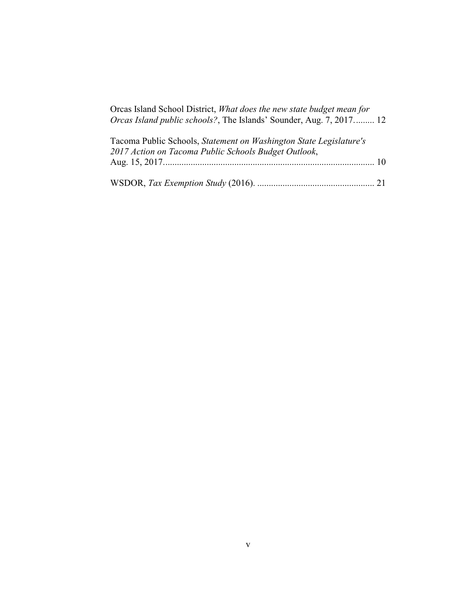| Orcas Island School District, What does the new state budget mean for<br><i>Orcas Island public schools?</i> , The Islands' Sounder, Aug. 7, 2017 12 |
|------------------------------------------------------------------------------------------------------------------------------------------------------|
| Tacoma Public Schools, Statement on Washington State Legislature's<br>2017 Action on Tacoma Public Schools Budget Outlook,                           |
|                                                                                                                                                      |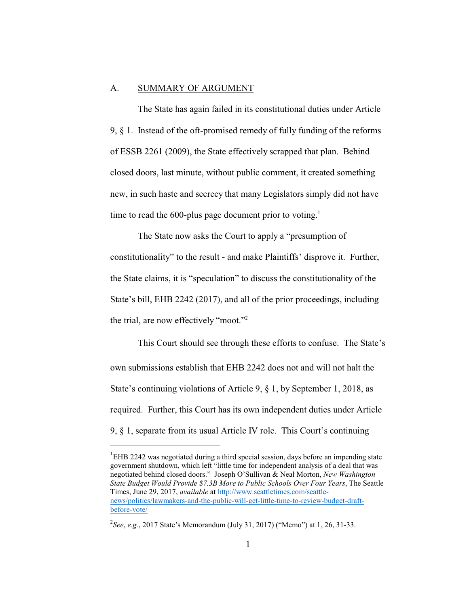#### A. SUMMARY OF ARGUMENT

The State has again failed in its constitutional duties under Article 9, § 1. Instead of the oft-promised remedy of fully funding of the reforms of ESSB 2261 (2009), the State effectively scrapped that plan. Behind closed doors, last minute, without public comment, it created something new, in such haste and secrecy that many Legislators simply did not have time to read the 600-plus page document prior to voting. 1

The State now asks the Court to apply a "presumption of constitutionality" to the result - and make Plaintiffs' disprove it. Further, the State claims, it is "speculation" to discuss the constitutionality of the State's bill, EHB 2242 (2017), and all of the prior proceedings, including the trial, are now effectively "moot."<sup>2</sup>

This Court should see through these efforts to confuse. The State's own submissions establish that EHB 2242 does not and will not halt the State's continuing violations of Article 9, § 1, by September 1, 2018, as required. Further, this Court has its own independent duties under Article 9, § 1, separate from its usual Article IV role. This Court's continuing

 ${}^{1}$ EHB 2242 was negotiated during a third special session, days before an impending state government shutdown, which left "little time for independent analysis of a deal that was negotiated behind closed doors." Joseph O'Sullivan & Neal Morton, *New Washington State Budget Would Provide \$7.3B More to Public Schools Over Four Years*, The Seattle Times, June 29, 2017, *available* at [http://www.seattletimes.com/seattle](http://www.seattletimes.com/seattle-news/politics/lawmakers-and-the-public-will-get-little-time-to-review-budget-draft-before-vote/)[news/politics/lawmakers-and-the-public-will-get-little-time-to-review-budget-draft](http://www.seattletimes.com/seattle-news/politics/lawmakers-and-the-public-will-get-little-time-to-review-budget-draft-before-vote/)[before-vote/](http://www.seattletimes.com/seattle-news/politics/lawmakers-and-the-public-will-get-little-time-to-review-budget-draft-before-vote/)

<sup>2</sup> *See*, *e.g.*, 2017 State's Memorandum (July 31, 2017) ("Memo") at 1, 26, 31-33.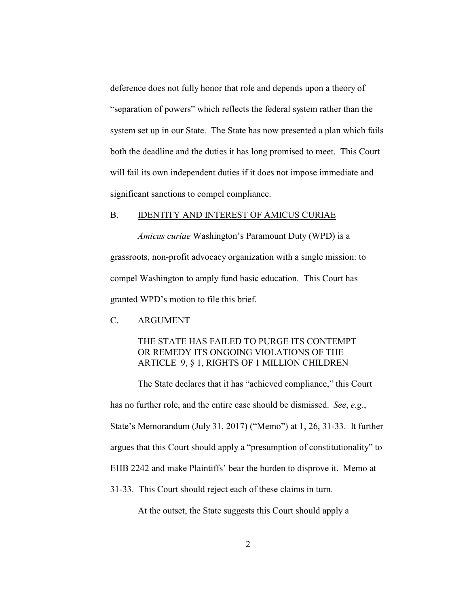deference does not fully honor that role and depends upon a theory of "separation of powers" which reflects the federal system rather than the system set up in our State. The State has now presented a plan which fails both the deadline and the duties it has long promised to meet. This Court will fail its own independent duties if it does not impose immediate and significant sanctions to compel compliance.

#### B. IDENTITY AND INTEREST OF AMICUS CURIAE

*Amicus curiae* Washington's Paramount Duty (WPD) is a grassroots, non-profit advocacy organization with a single mission: to compel Washington to amply fund basic education. This Court has granted WPD's motion to file this brief.

#### C. ARGUMENT

### THE STATE HAS FAILED TO PURGE ITS CONTEMPT OR REMEDY ITS ONGOING VIOLATIONS OF THE ARTICLE 9, § 1, RIGHTS OF 1 MILLION CHILDREN

The State declares that it has "achieved compliance," this Court has no further role, and the entire case should be dismissed. *See*, *e.g.*, State's Memorandum (July 31, 2017) ("Memo") at 1, 26, 31-33. It further argues that this Court should apply a "presumption of constitutionality" to EHB 2242 and make Plaintiffs' bear the burden to disprove it. Memo at 31-33. This Court should reject each of these claims in turn.

At the outset, the State suggests this Court should apply a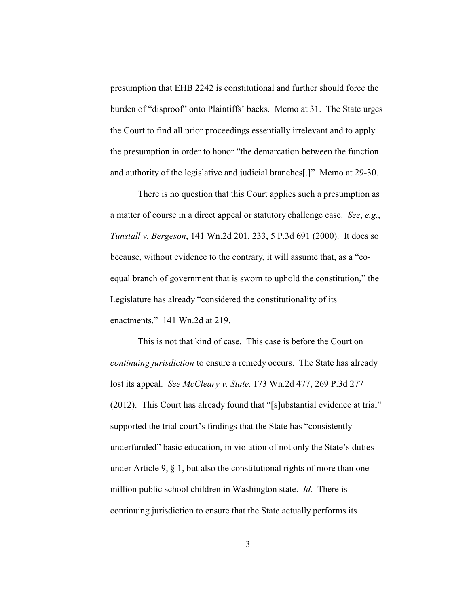presumption that EHB 2242 is constitutional and further should force the burden of "disproof" onto Plaintiffs' backs. Memo at 31. The State urges the Court to find all prior proceedings essentially irrelevant and to apply the presumption in order to honor "the demarcation between the function and authority of the legislative and judicial branches[.]" Memo at 29-30.

There is no question that this Court applies such a presumption as a matter of course in a direct appeal or statutory challenge case. *See*, *e.g.*, *Tunstall v. Bergeson*, 141 Wn.2d 201, 233, 5 P.3d 691 (2000). It does so because, without evidence to the contrary, it will assume that, as a "coequal branch of government that is sworn to uphold the constitution," the Legislature has already "considered the constitutionality of its enactments." 141 Wn.2d at 219.

This is not that kind of case. This case is before the Court on *continuing jurisdiction* to ensure a remedy occurs. The State has already lost its appeal. *See McCleary v. State,* 173 Wn.2d 477, 269 P.3d 277 (2012). This Court has already found that "[s]ubstantial evidence at trial" supported the trial court's findings that the State has "consistently underfunded" basic education, in violation of not only the State's duties under Article 9,  $\S$  1, but also the constitutional rights of more than one million public school children in Washington state. *Id.* There is continuing jurisdiction to ensure that the State actually performs its

3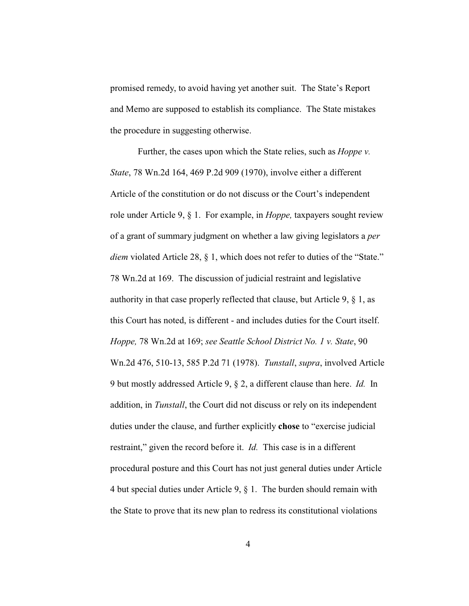promised remedy, to avoid having yet another suit. The State's Report and Memo are supposed to establish its compliance. The State mistakes the procedure in suggesting otherwise.

Further, the cases upon which the State relies, such as *Hoppe v. State*, 78 Wn.2d 164, 469 P.2d 909 (1970), involve either a different Article of the constitution or do not discuss or the Court's independent role under Article 9, § 1. For example, in *Hoppe,* taxpayers sought review of a grant of summary judgment on whether a law giving legislators a *per diem* violated Article 28, § 1, which does not refer to duties of the "State." 78 Wn.2d at 169. The discussion of judicial restraint and legislative authority in that case properly reflected that clause, but Article 9, § 1, as this Court has noted, is different - and includes duties for the Court itself. *Hoppe,* 78 Wn.2d at 169; *see Seattle School District No. 1 v. State*, 90 Wn.2d 476, 510-13, 585 P.2d 71 (1978). *Tunstall*, *supra*, involved Article 9 but mostly addressed Article 9, § 2, a different clause than here. *Id.* In addition, in *Tunstall*, the Court did not discuss or rely on its independent duties under the clause, and further explicitly **chose** to "exercise judicial restraint," given the record before it. *Id.* This case is in a different procedural posture and this Court has not just general duties under Article 4 but special duties under Article 9, § 1. The burden should remain with the State to prove that its new plan to redress its constitutional violations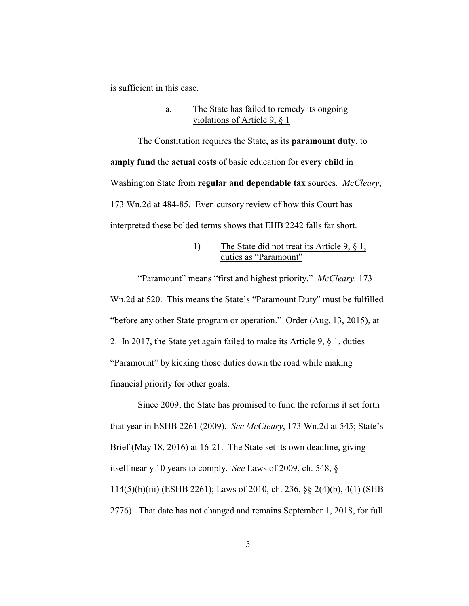is sufficient in this case.

#### a. The State has failed to remedy its ongoing violations of Article 9, § 1

The Constitution requires the State, as its **paramount duty**, to **amply fund** the **actual costs** of basic education for **every child** in Washington State from **regular and dependable tax** sources. *McCleary*, 173 Wn.2d at 484-85. Even cursory review of how this Court has interpreted these bolded terms shows that EHB 2242 falls far short.

### 1) The State did not treat its Article 9, § 1, duties as "Paramount"

"Paramount" means "first and highest priority." *McCleary,* 173 Wn.2d at 520. This means the State's "Paramount Duty" must be fulfilled "before any other State program or operation." Order (Aug. 13, 2015), at 2. In 2017, the State yet again failed to make its Article 9, § 1, duties "Paramount" by kicking those duties down the road while making financial priority for other goals.

Since 2009, the State has promised to fund the reforms it set forth that year in ESHB 2261 (2009). *See McCleary*, 173 Wn.2d at 545; State's Brief (May 18, 2016) at 16-21. The State set its own deadline, giving itself nearly 10 years to comply. *See* Laws of 2009, ch. 548, § 114(5)(b)(iii) (ESHB 2261); Laws of 2010, ch. 236, §§ 2(4)(b), 4(1) (SHB 2776). That date has not changed and remains September 1, 2018, for full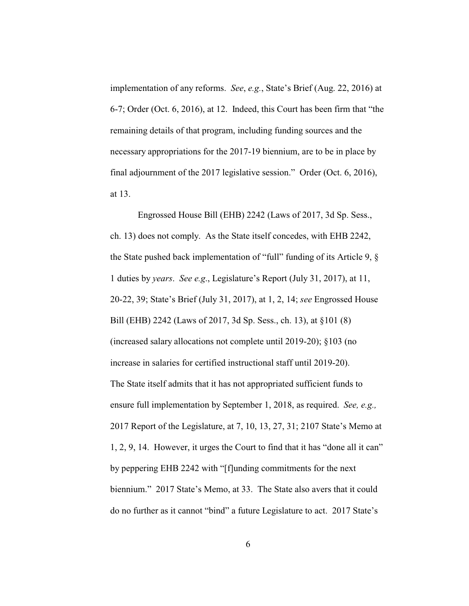implementation of any reforms. *See*, *e.g.*, State's Brief (Aug. 22, 2016) at 6-7; Order (Oct. 6, 2016), at 12. Indeed, this Court has been firm that "the remaining details of that program, including funding sources and the necessary appropriations for the 2017-19 biennium, are to be in place by final adjournment of the 2017 legislative session." Order (Oct. 6, 2016), at 13.

 Engrossed House Bill (EHB) 2242 (Laws of 2017, 3d Sp. Sess., ch. 13) does not comply. As the State itself concedes, with EHB 2242, the State pushed back implementation of "full" funding of its Article 9, § 1 duties by *years*. *See e.g*., Legislature's Report (July 31, 2017), at 11, 20-22, 39; State's Brief (July 31, 2017), at 1, 2, 14; *see* Engrossed House Bill (EHB) 2242 (Laws of 2017, 3d Sp. Sess., ch. 13), at §101 (8) (increased salary allocations not complete until 2019-20); §103 (no increase in salaries for certified instructional staff until 2019-20). The State itself admits that it has not appropriated sufficient funds to ensure full implementation by September 1, 2018, as required. *See, e.g.,* 2017 Report of the Legislature, at 7, 10, 13, 27, 31; 2107 State's Memo at 1, 2, 9, 14. However, it urges the Court to find that it has "done all it can" by peppering EHB 2242 with "[f]unding commitments for the next biennium." 2017 State's Memo, at 33. The State also avers that it could do no further as it cannot "bind" a future Legislature to act. 2017 State's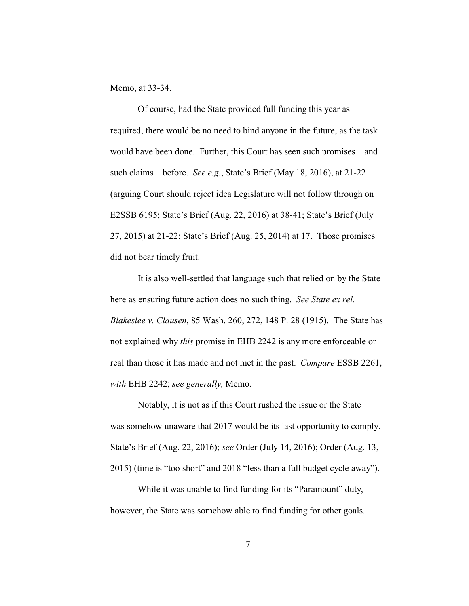Memo, at 33-34.

Of course, had the State provided full funding this year as required, there would be no need to bind anyone in the future, as the task would have been done. Further, this Court has seen such promises—and such claims—before. *See e.g.*, State's Brief (May 18, 2016), at 21-22 (arguing Court should reject idea Legislature will not follow through on E2SSB 6195; State's Brief (Aug. 22, 2016) at 38-41; State's Brief (July 27, 2015) at 21-22; State's Brief (Aug. 25, 2014) at 17. Those promises did not bear timely fruit.

It is also well-settled that language such that relied on by the State here as ensuring future action does no such thing. *See State ex rel. Blakeslee v. Clausen*, 85 Wash. 260, 272, 148 P. 28 (1915). The State has not explained why *this* promise in EHB 2242 is any more enforceable or real than those it has made and not met in the past. *Compare* ESSB 2261, *with* EHB 2242; *see generally,* Memo.

Notably, it is not as if this Court rushed the issue or the State was somehow unaware that 2017 would be its last opportunity to comply. State's Brief (Aug. 22, 2016); *see* Order (July 14, 2016); Order (Aug. 13, 2015) (time is "too short" and 2018 "less than a full budget cycle away").

While it was unable to find funding for its "Paramount" duty, however, the State was somehow able to find funding for other goals.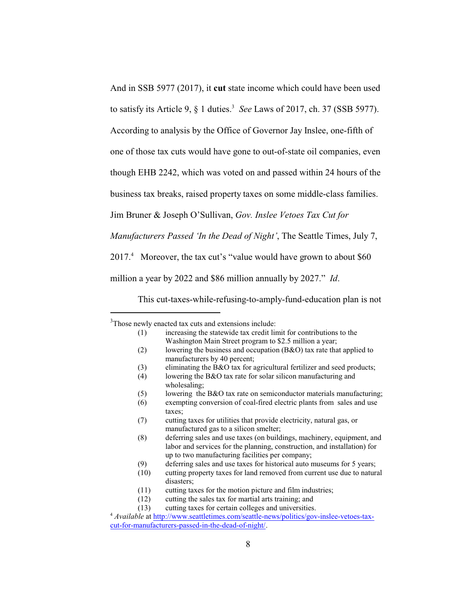And in SSB 5977 (2017), it **cut** state income which could have been used

to satisfy its Article 9,  $\S$  1 duties.<sup>3</sup> See Laws of 2017, ch. 37 (SSB 5977).

According to analysis by the Office of Governor Jay Inslee, one-fifth of

one of those tax cuts would have gone to out-of-state oil companies, even

though EHB 2242, which was voted on and passed within 24 hours of the

business tax breaks, raised property taxes on some middle-class families.

Jim Bruner & Joseph O'Sullivan, *Gov. Inslee Vetoes Tax Cut for*

*Manufacturers Passed 'In the Dead of Night'*, The Seattle Times, July 7,

2017.<sup>4</sup> Moreover, the tax cut's "value would have grown to about \$60

million a year by 2022 and \$86 million annually by 2027." *Id*.

This cut-taxes-while-refusing-to-amply-fund-education plan is not

- (1) increasing the statewide tax credit limit for contributions to the Washington Main Street program to \$2.5 million a year;
- (2) lowering the business and occupation (B&O) tax rate that applied to manufacturers by 40 percent;
- (3) eliminating the B&O tax for agricultural fertilizer and seed products;
- (4) lowering the B&O tax rate for solar silicon manufacturing and wholesaling;
- (5) lowering the B&O tax rate on semiconductor materials manufacturing;
- (6) exempting conversion of coal-fired electric plants from sales and use taxes;
- (7) cutting taxes for utilities that provide electricity, natural gas, or manufactured gas to a silicon smelter;
- (8) deferring sales and use taxes (on buildings, machinery, equipment, and labor and services for the planning, construction, and installation) for up to two manufacturing facilities per company;
- (9) deferring sales and use taxes for historical auto museums for 5 years;
- (10) cutting property taxes for land removed from current use due to natural disasters;
- (11) cutting taxes for the motion picture and film industries;
- (12) cutting the sales tax for martial arts training; and
- (13) cutting taxes for certain colleges and universities.

<sup>&</sup>lt;sup>3</sup>Those newly enacted tax cuts and extensions include:

<sup>4</sup> *Available* at [http://www.seattletimes.com/seattle-news/politics/gov-inslee-vetoes-tax](http://www.seattletimes.com/seattle-news/politics/gov-inslee-vetoes-tax-cut-for-manufacturers-passed-in-the-dead-of-night/)[cut-for-manufacturers-passed-in-the-dead-of-night/](http://www.seattletimes.com/seattle-news/politics/gov-inslee-vetoes-tax-cut-for-manufacturers-passed-in-the-dead-of-night/).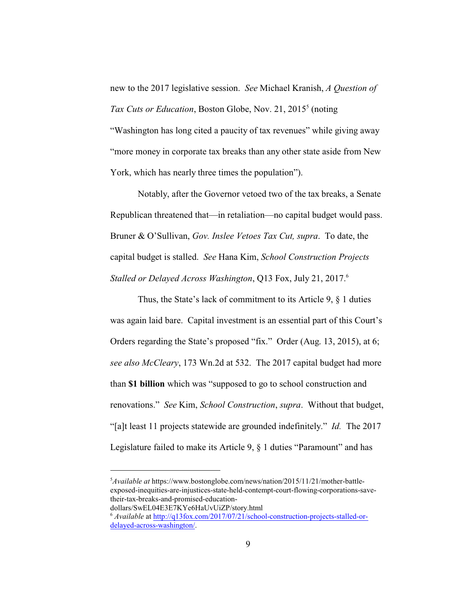new to the 2017 legislative session. *See* Michael Kranish, *A Question of* Tax Cuts or Education, Boston Globe, Nov. 21, 2015<sup>5</sup> (noting "Washington has long cited a paucity of tax revenues" while giving away "more money in corporate tax breaks than any other state aside from New York, which has nearly three times the population").

Notably, after the Governor vetoed two of the tax breaks, a Senate Republican threatened that—in retaliation—no capital budget would pass. Bruner & O'Sullivan, *Gov. Inslee Vetoes Tax Cut, supra*. To date, the capital budget is stalled. *See* Hana Kim, *School Construction Projects Stalled or Delayed Across Washington*, Q13 Fox, July 21, 2017.<sup>6</sup>

Thus, the State's lack of commitment to its Article 9, § 1 duties was again laid bare. Capital investment is an essential part of this Court's Orders regarding the State's proposed "fix." Order (Aug. 13, 2015), at 6; *see also McCleary*, 173 Wn.2d at 532. The 2017 capital budget had more than **\$1 billion** which was "supposed to go to school construction and renovations." *See* Kim, *School Construction*, *supra*.Without that budget, "[a]t least 11 projects statewide are grounded indefinitely." *Id.* The 2017 Legislature failed to make its Article 9, § 1 duties "Paramount" and has

<sup>5</sup>*Available at* https://www.bostonglobe.com/news/nation/2015/11/21/mother-battleexposed-inequities-are-injustices-state-held-contempt-court-flowing-corporations-savetheir-tax-breaks-and-promised-education-

dollars/SwEL04E3E7KYe6HaUvUiZP/story.html

<sup>6</sup> *Available* at [http://q13fox.com/2017/07/21/school-construction-projects-stalled-or](http://q13fox.com/2017/07/21/school-construction-projects-stalled-or-delayed-across-washington/)[delayed-across-washington/](http://q13fox.com/2017/07/21/school-construction-projects-stalled-or-delayed-across-washington/).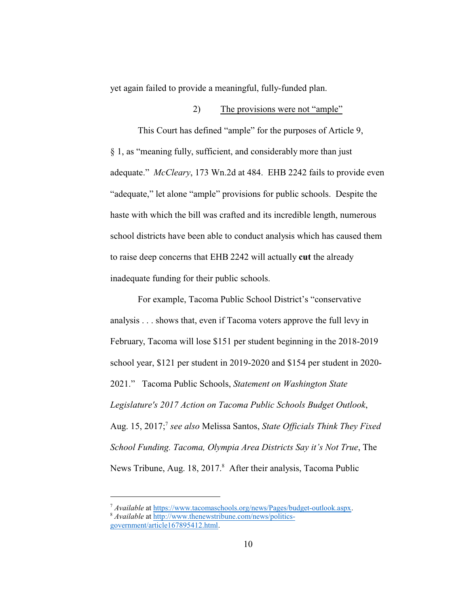yet again failed to provide a meaningful, fully-funded plan.

#### 2) The provisions were not "ample"

This Court has defined "ample" for the purposes of Article 9, § 1, as "meaning fully, sufficient, and considerably more than just adequate." *McCleary*, 173 Wn.2d at 484. EHB 2242 fails to provide even "adequate," let alone "ample" provisions for public schools. Despite the haste with which the bill was crafted and its incredible length, numerous school districts have been able to conduct analysis which has caused them to raise deep concerns that EHB 2242 will actually **cut** the already inadequate funding for their public schools.

For example, Tacoma Public School District's "conservative analysis . . . shows that, even if Tacoma voters approve the full levy in February, Tacoma will lose \$151 per student beginning in the 2018-2019 school year, \$121 per student in 2019-2020 and \$154 per student in 2020- 2021." Tacoma Public Schools, *Statement on Washington State Legislature's 2017 Action on Tacoma Public Schools Budget Outlook*, Aug. 15, 2017;<sup>7</sup> see also Melissa Santos, State Officials Think They Fixed *School Funding. Tacoma, Olympia Area Districts Say it's Not True*, The News Tribune, Aug. 18, 2017.<sup>8</sup> After their analysis, Tacoma Public

<sup>7</sup> *Available* at<https://www.tacomaschools.org/news/Pages/budget-outlook.aspx>. <sup>8</sup> Available at [http://www.thenewstribune.com/news/politics](http://www.thenewstribune.com/news/politics-government/article167895412.html)[government/article167895412.html](http://www.thenewstribune.com/news/politics-government/article167895412.html).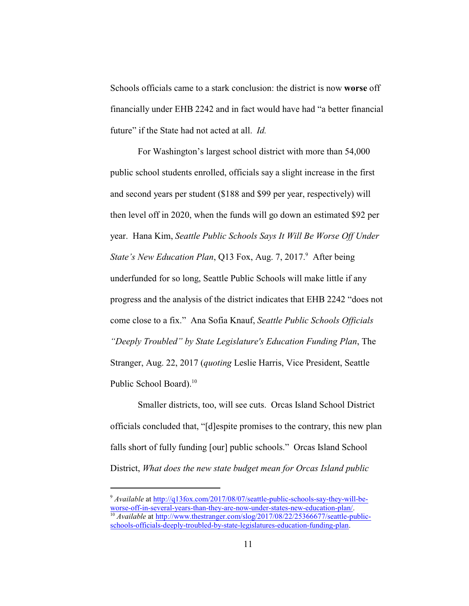Schools officials came to a stark conclusion: the district is now **worse** off financially under EHB 2242 and in fact would have had "a better financial future" if the State had not acted at all. *Id.*

For Washington's largest school district with more than 54,000 public school students enrolled, officials say a slight increase in the first and second years per student (\$188 and \$99 per year, respectively) will then level off in 2020, when the funds will go down an estimated \$92 per year. Hana Kim, *Seattle Public Schools Says It Will Be Worse Off Under* State's New Education Plan, Q13 Fox, Aug. 7, 2017.<sup>9</sup> After being underfunded for so long, Seattle Public Schools will make little if any progress and the analysis of the district indicates that EHB 2242 "does not come close to a fix." Ana Sofia Knauf, *Seattle Public Schools Officials "Deeply Troubled" by State Legislature's Education Funding Plan*, The Stranger, Aug. 22, 2017 (*quoting* Leslie Harris, Vice President, Seattle Public School Board).<sup>10</sup>

Smaller districts, too, will see cuts. Orcas Island School District officials concluded that, "[d]espite promises to the contrary, this new plan falls short of fully funding [our] public schools." Orcas Island School District, *What does the new state budget mean for Orcas Island public*

<sup>9</sup> *Available* at [http://q13fox.com/2017/08/07/seattle-public-schools-say-they-will-be](http://q13fox.com/2017/08/07/seattle-public-schools-say-they-will-be-worse-off-in-several-years-than-they-are-now-under-states-new-education-plan/)[worse-off-in-several-years-than-they-are-now-under-states-new-education-plan/](http://q13fox.com/2017/08/07/seattle-public-schools-say-they-will-be-worse-off-in-several-years-than-they-are-now-under-states-new-education-plan/). <sup>10</sup> *Available* at [http://www.thestranger.com/slog/2017/08/22/25366677/seattle-public](http://www.thestranger.com/slog/2017/08/22/25366677/seattle-public-schools-officials-deeply-troubled-by-state-legislatures-education-funding-plan)[schools-officials-deeply-troubled-by-state-legislatures-education-funding-plan](http://www.thestranger.com/slog/2017/08/22/25366677/seattle-public-schools-officials-deeply-troubled-by-state-legislatures-education-funding-plan).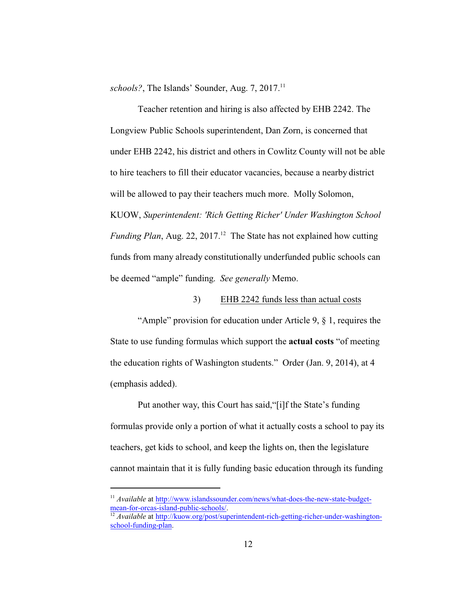schools?, The Islands' Sounder, Aug. 7, 2017.<sup>11</sup>

Teacher retention and hiring is also affected by EHB 2242. The Longview Public Schools superintendent, Dan Zorn, is concerned that under EHB 2242, his district and others in Cowlitz County will not be able to hire teachers to fill their educator vacancies, because a nearby district will be allowed to pay their teachers much more. Molly Solomon, KUOW, *Superintendent: 'Rich Getting Richer' Under Washington School* Funding Plan, Aug. 22, 2017.<sup>12</sup> The State has not explained how cutting funds from many already constitutionally underfunded public schools can be deemed "ample" funding. *See generally* Memo.

#### 3) EHB 2242 funds less than actual costs

"Ample" provision for education under Article 9, § 1, requires the State to use funding formulas which support the **actual costs** "of meeting the education rights of Washington students." Order (Jan. 9, 2014), at 4 (emphasis added).

Put another way, this Court has said,"[i]f the State's funding formulas provide only a portion of what it actually costs a school to pay its teachers, get kids to school, and keep the lights on, then the legislature cannot maintain that it is fully funding basic education through its funding

<sup>&</sup>lt;sup>11</sup> *Available* at [http://www.islandssounder.com/news/what-does-the-new-state-budget](http://www.islandssounder.com/news/what-does-the-new-state-budget-mean-for-orcas-island-public-schools/)[mean-for-orcas-island-public-schools/](http://www.islandssounder.com/news/what-does-the-new-state-budget-mean-for-orcas-island-public-schools/).

<sup>12</sup> *Available* at [http://kuow.org/post/superintendent-rich-getting-richer-under-washington](http://kuow.org/post/superintendent-rich-getting-richer-under-washington-school-funding-plan)[school-funding-plan](http://kuow.org/post/superintendent-rich-getting-richer-under-washington-school-funding-plan).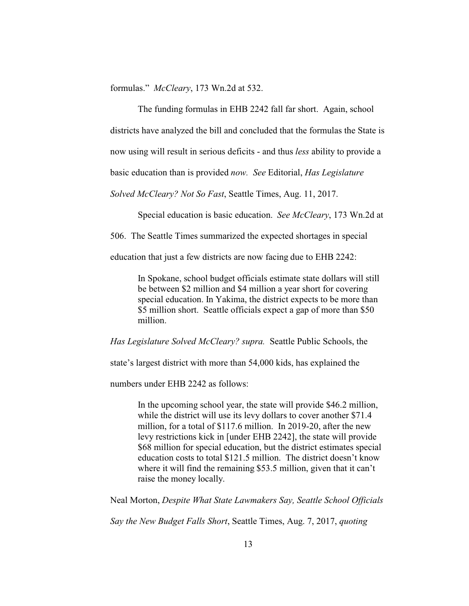formulas." *McCleary*, 173 Wn.2d at 532.

The funding formulas in EHB 2242 fall far short. Again, school districts have analyzed the bill and concluded that the formulas the State is now using will result in serious deficits - and thus *less* ability to provide a basic education than is provided *now. See* Editorial, *Has Legislature*

*Solved McCleary? Not So Fast*, Seattle Times, Aug. 11, 2017.

Special education is basic education. *See McCleary*, 173 Wn.2d at

506. The Seattle Times summarized the expected shortages in special

education that just a few districts are now facing due to EHB 2242:

In Spokane, school budget officials estimate state dollars will still be between \$2 million and \$4 million a year short for covering special education. In Yakima, the district expects to be more than \$5 million short. Seattle officials expect a gap of more than \$50 million.

*Has Legislature Solved McCleary? supra.* Seattle Public Schools, the

state's largest district with more than 54,000 kids, has explained the

numbers under EHB 2242 as follows:

In the upcoming school year, the state will provide \$46.2 million, while the district will use its levy dollars to cover another \$71.4 million, for a total of \$117.6 million. In 2019-20, after the new levy restrictions kick in [under EHB 2242], the state will provide \$68 million for special education, but the district estimates special education costs to total \$121.5 million. The district doesn't know where it will find the remaining \$53.5 million, given that it can't raise the money locally.

Neal Morton, *Despite What State Lawmakers Say, Seattle School Officials*

*Say the New Budget Falls Short*, Seattle Times, Aug. 7, 2017, *quoting*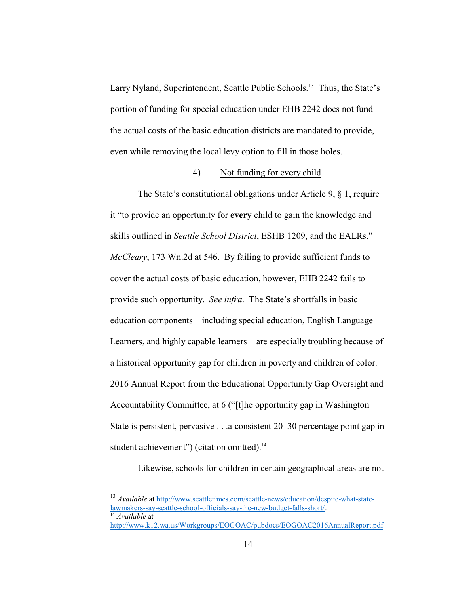Larry Nyland, Superintendent, Seattle Public Schools.<sup>13</sup> Thus, the State's portion of funding for special education under EHB 2242 does not fund the actual costs of the basic education districts are mandated to provide, even while removing the local levy option to fill in those holes.

#### 4) Not funding for every child

The State's constitutional obligations under Article 9, § 1, require it "to provide an opportunity for **every** child to gain the knowledge and skills outlined in *Seattle School District*, ESHB 1209, and the EALRs." *McCleary*, 173 Wn.2d at 546. By failing to provide sufficient funds to cover the actual costs of basic education, however, EHB 2242 fails to provide such opportunity. *See infra*. The State's shortfalls in basic education components—including special education, English Language Learners, and highly capable learners—are especially troubling because of a historical opportunity gap for children in poverty and children of color. 2016 Annual Report from the Educational Opportunity Gap Oversight and Accountability Committee, at 6 ("[t]he opportunity gap in Washington State is persistent, pervasive . . .a consistent 20–30 percentage point gap in student achievement") (citation omitted).<sup>14</sup>

Likewise, schools for children in certain geographical areas are not

<sup>&</sup>lt;sup>13</sup> Available at [http://www.seattletimes.com/seattle-news/education/despite-what-state](http://www.seattletimes.com/seattle-news/education/despite-what-state-lawmakers-say-seattle-school-officials-say-the-new-budget-falls-short/)[lawmakers-say-seattle-school-officials-say-the-new-budget-falls-short/](http://www.seattletimes.com/seattle-news/education/despite-what-state-lawmakers-say-seattle-school-officials-say-the-new-budget-falls-short/). <sup>14</sup> *Available* at

<http://www.k12.wa.us/Workgroups/EOGOAC/pubdocs/EOGOAC2016AnnualReport.pdf>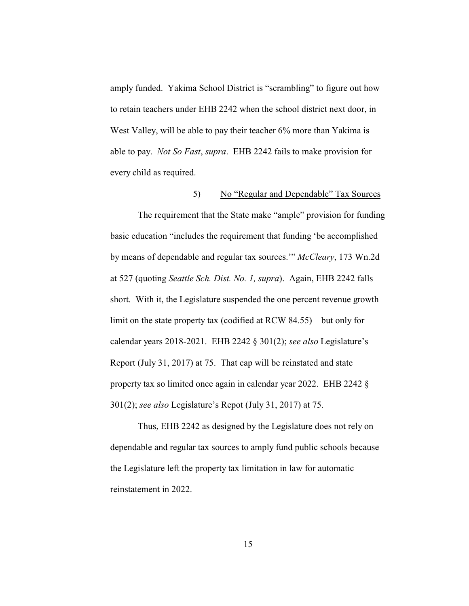amply funded. Yakima School District is "scrambling" to figure out how to retain teachers under EHB 2242 when the school district next door, in West Valley, will be able to pay their teacher 6% more than Yakima is able to pay. *Not So Fast*, *supra*. EHB 2242 fails to make provision for every child as required.

#### 5) No "Regular and Dependable" Tax Sources

The requirement that the State make "ample" provision for funding basic education "includes the requirement that funding 'be accomplished by means of dependable and regular tax sources.'" *McCleary*, 173 Wn.2d at 527 (quoting *Seattle Sch. Dist. No. 1, supra*). Again, EHB 2242 falls short. With it, the Legislature suspended the one percent revenue growth limit on the state property tax (codified at RCW 84.55)—but only for calendar years 2018-2021. EHB 2242 § 301(2); *see also* Legislature's Report (July 31, 2017) at 75. That cap will be reinstated and state property tax so limited once again in calendar year 2022. EHB 2242 § 301(2); *see also* Legislature's Repot (July 31, 2017) at 75.

Thus, EHB 2242 as designed by the Legislature does not rely on dependable and regular tax sources to amply fund public schools because the Legislature left the property tax limitation in law for automatic reinstatement in 2022.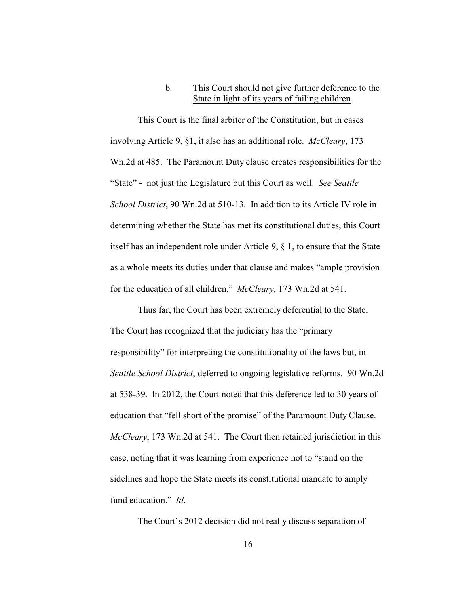#### b. This Court should not give further deference to the State in light of its years of failing children

This Court is the final arbiter of the Constitution, but in cases involving Article 9, §1, it also has an additional role. *McCleary*, 173 Wn.2d at 485. The Paramount Duty clause creates responsibilities for the "State" - not just the Legislature but this Court as well. *See Seattle School District*, 90 Wn.2d at 510-13. In addition to its Article IV role in determining whether the State has met its constitutional duties, this Court itself has an independent role under Article 9, § 1, to ensure that the State as a whole meets its duties under that clause and makes "ample provision for the education of all children." *McCleary*, 173 Wn.2d at 541.

Thus far, the Court has been extremely deferential to the State. The Court has recognized that the judiciary has the "primary responsibility" for interpreting the constitutionality of the laws but, in *Seattle School District*, deferred to ongoing legislative reforms. 90 Wn.2d at 538-39. In 2012, the Court noted that this deference led to 30 years of education that "fell short of the promise" of the Paramount Duty Clause. *McCleary*, 173 Wn.2d at 541. The Court then retained jurisdiction in this case, noting that it was learning from experience not to "stand on the sidelines and hope the State meets its constitutional mandate to amply fund education." *Id*.

The Court's 2012 decision did not really discuss separation of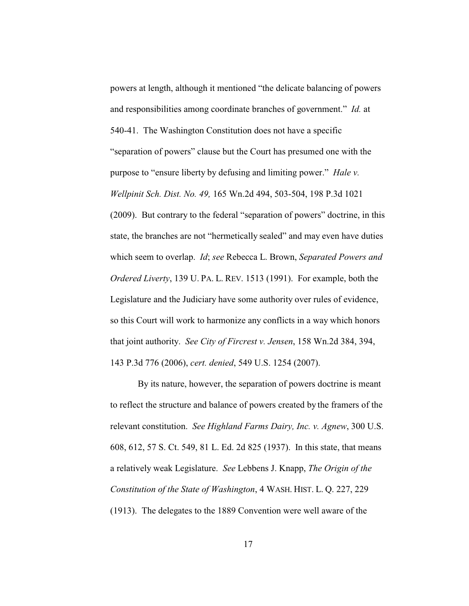powers at length, although it mentioned "the delicate balancing of powers and responsibilities among coordinate branches of government." *Id.* at 540-41. The Washington Constitution does not have a specific "separation of powers" clause but the Court has presumed one with the purpose to "ensure liberty by defusing and limiting power." *Hale v. Wellpinit Sch. Dist. No. 49,* 165 Wn.2d 494, 503-504, 198 P.3d 1021 (2009). But contrary to the federal "separation of powers" doctrine, in this state, the branches are not "hermetically sealed" and may even have duties which seem to overlap. *Id*; *see* Rebecca L. Brown, *Separated Powers and Ordered Liverty*, 139 U. PA. L. REV. 1513 (1991). For example, both the Legislature and the Judiciary have some authority over rules of evidence, so this Court will work to harmonize any conflicts in a way which honors that joint authority. *See City of Fircrest v. Jensen*, 158 Wn.2d 384, 394, 143 P.3d 776 (2006), *cert. denied*, 549 U.S. 1254 (2007).

By its nature, however, the separation of powers doctrine is meant to reflect the structure and balance of powers created by the framers of the relevant constitution. *See Highland Farms Dairy, Inc. v. Agnew*, 300 U.S. 608, 612, 57 S. Ct. 549, 81 L. Ed. 2d 825 (1937). In this state, that means a relatively weak Legislature. *See* Lebbens J. Knapp, *The Origin of the Constitution of the State of Washington*, 4 WASH. HIST. L. Q. 227, 229 (1913). The delegates to the 1889 Convention were well aware of the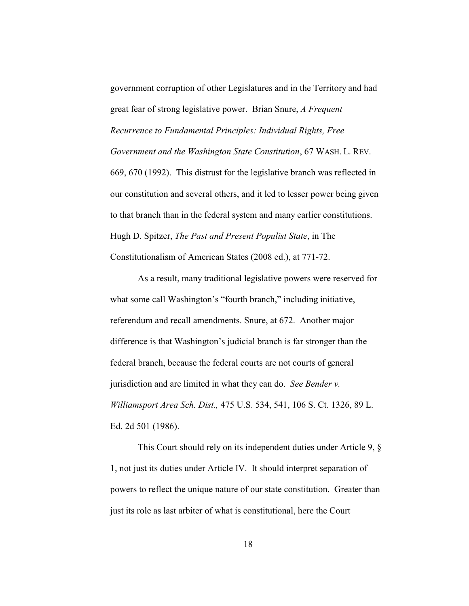government corruption of other Legislatures and in the Territory and had great fear of strong legislative power. Brian Snure, *A Frequent Recurrence to Fundamental Principles: Individual Rights, Free Government and the Washington State Constitution*, 67 WASH. L. REV. 669, 670 (1992). This distrust for the legislative branch was reflected in our constitution and several others, and it led to lesser power being given to that branch than in the federal system and many earlier constitutions. Hugh D. Spitzer, *The Past and Present Populist State*, in The Constitutionalism of American States (2008 ed.), at 771-72.

As a result, many traditional legislative powers were reserved for what some call Washington's "fourth branch," including initiative, referendum and recall amendments. Snure, at 672. Another major difference is that Washington's judicial branch is far stronger than the federal branch, because the federal courts are not courts of general jurisdiction and are limited in what they can do. *See Bender v. Williamsport Area Sch. Dist.,* 475 U.S. 534, 541, 106 S. Ct. 1326, 89 L. Ed. 2d 501 (1986).

This Court should rely on its independent duties under Article 9, § 1, not just its duties under Article IV. It should interpret separation of powers to reflect the unique nature of our state constitution. Greater than just its role as last arbiter of what is constitutional, here the Court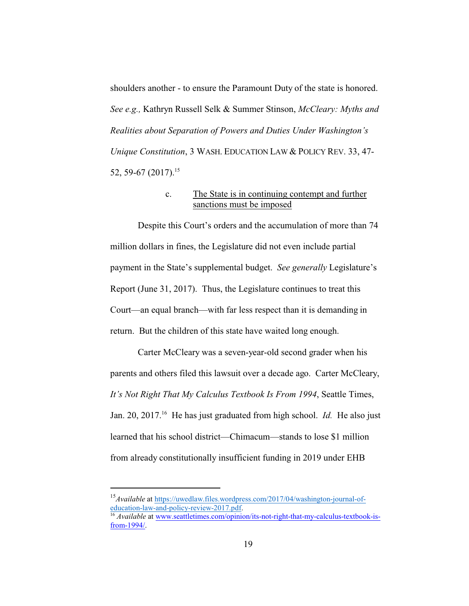shoulders another - to ensure the Paramount Duty of the state is honored. *See e.g.,* Kathryn Russell Selk & Summer Stinson, *McCleary: Myths and Realities about Separation of Powers and Duties Under Washington's Unique Constitution*, 3 WASH. EDUCATION LAW & POLICY REV. 33, 47- 52, 59-67 (2017).<sup>15</sup>

#### c. The State is in continuing contempt and further sanctions must be imposed

Despite this Court's orders and the accumulation of more than 74 million dollars in fines, the Legislature did not even include partial payment in the State's supplemental budget. *See generally* Legislature's Report (June 31, 2017). Thus, the Legislature continues to treat this Court—an equal branch—with far less respect than it is demanding in return. But the children of this state have waited long enough.

Carter McCleary was a seven-year-old second grader when his parents and others filed this lawsuit over a decade ago. Carter McCleary, *It's Not Right That My Calculus Textbook Is From 1994*, Seattle Times, Jan. 20, 2017.<sup>16</sup> He has just graduated from high school. *Id.* He also just learned that his school district—Chimacum—stands to lose \$1 million from already constitutionally insufficient funding in 2019 under EHB

<sup>&</sup>lt;sup>15</sup> Available at [https://uwedlaw.files.wordpress.com/2017/04/washington-journal-of](https://uwedlaw.files.wordpress.com/2017/04/washington-journal-of-education-law-and-policy-review-2017.pdf)[education-law-and-policy-review-2017.pdf](https://uwedlaw.files.wordpress.com/2017/04/washington-journal-of-education-law-and-policy-review-2017.pdf).

<sup>&</sup>lt;sup>16</sup> *Available* at [www.seattletimes.com/opinion/its-not-right-that-my-calculus-textbook-is](http://www.seattletimes.com/opinion/its-not-right-that-my-calculus-textbook-is-from-1994/)[from-1994/](http://www.seattletimes.com/opinion/its-not-right-that-my-calculus-textbook-is-from-1994/).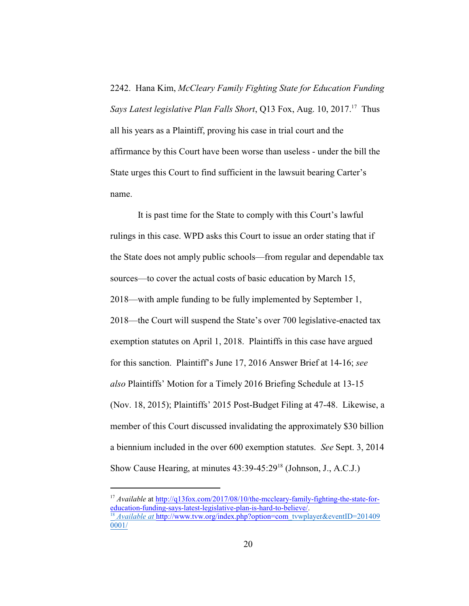2242. Hana Kim, *McCleary Family Fighting State for Education Funding* Says Latest legislative Plan Falls Short, Q13 Fox, Aug. 10, 2017.<sup>17</sup> Thus all his years as a Plaintiff, proving his case in trial court and the affirmance by this Court have been worse than useless - under the bill the State urges this Court to find sufficient in the lawsuit bearing Carter's name.

It is past time for the State to comply with this Court's lawful rulings in this case. WPD asks this Court to issue an order stating that if the State does not amply public schools—from regular and dependable tax sources—to cover the actual costs of basic education by March 15, 2018—with ample funding to be fully implemented by September 1, 2018—the Court will suspend the State's over 700 legislative-enacted tax exemption statutes on April 1, 2018. Plaintiffs in this case have argued for this sanction. Plaintiff's June 17, 2016 Answer Brief at 14-16; *see also* Plaintiffs' Motion for a Timely 2016 Briefing Schedule at 13-15 (Nov. 18, 2015); Plaintiffs' 2015 Post-Budget Filing at 47-48. Likewise, a member of this Court discussed invalidating the approximately \$30 billion a biennium included in the over 600 exemption statutes. *See* Sept. 3, 2014 Show Cause Hearing, at minutes 43:39-45:29<sup>18</sup> (Johnson, J., A.C.J.)

<sup>&</sup>lt;sup>17</sup> *Available* at [http://q13fox.com/2017/08/10/the-mccleary-family-fighting-the-state-for](http://q13fox.com/2017/08/10/the-mccleary-family-fighting-the-state-for-education-funding-says-latest-legislative-plan-is-hard-to-believe/)[education-funding-says-latest-legislative-plan-is-hard-to-believe/](http://q13fox.com/2017/08/10/the-mccleary-family-fighting-the-state-for-education-funding-says-latest-legislative-plan-is-hard-to-believe/). <sup>18</sup> *Available at http://www.tvw.org/index.php?option=com\_tvwplayer&eventID=201409* 0001/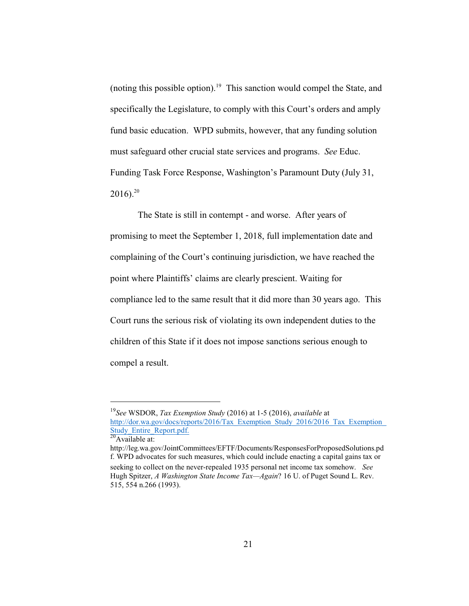(noting this possible option).<sup>19</sup> This sanction would compel the State, and specifically the Legislature, to comply with this Court's orders and amply fund basic education. WPD submits, however, that any funding solution must safeguard other crucial state services and programs. *See* Educ. Funding Task Force Response, Washington's Paramount Duty (July 31,  $2016$ ).<sup>20</sup>

The State is still in contempt - and worse. After years of promising to meet the September 1, 2018, full implementation date and complaining of the Court's continuing jurisdiction, we have reached the point where Plaintiffs' claims are clearly prescient. Waiting for compliance led to the same result that it did more than 30 years ago. This Court runs the serious risk of violating its own independent duties to the children of this State if it does not impose sanctions serious enough to compel a result.

<sup>19</sup> *See* WSDOR, *Tax Exemption Study* (2016) at 1-5 (2016), *available* at http://dor.wa.gov/docs/reports/2016/Tax\_Exemption\_Study\_2016/2016\_Tax\_Exemption Study\_Entire\_Report.pdf.  $\frac{20}{20}$ Available at:

http://leg.wa.gov/JointCommittees/EFTF/Documents/ResponsesForProposedSolutions.pd f. WPD advocates for such measures, which could include enacting a capital gains tax or seeking to collect on the never-repealed 1935 personal net income tax somehow. *See* Hugh Spitzer, *A Washington State Income Tax—Again*? 16 U. of Puget Sound L. Rev. 515, 554 n.266 (1993).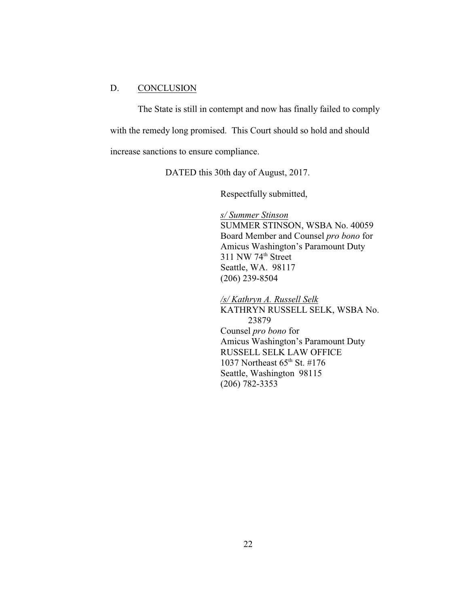### D. CONCLUSION

The State is still in contempt and now has finally failed to comply with the remedy long promised. This Court should so hold and should increase sanctions to ensure compliance.

DATED this 30th day of August, 2017.

Respectfully submitted,

*s/ Summer Stinson* SUMMER STINSON, WSBA No. 40059 Board Member and Counsel *pro bono* for Amicus Washington's Paramount Duty  $311$  NW  $74<sup>th</sup>$  Street Seattle, WA. 98117 (206) 239-8504

*/s/ Kathryn A. Russell Selk* KATHRYN RUSSELL SELK, WSBA No. 23879 Counsel *pro bono* for Amicus Washington's Paramount Duty RUSSELL SELK LAW OFFICE 1037 Northeast 65<sup>th</sup> St. #176 Seattle, Washington 98115 (206) 782-3353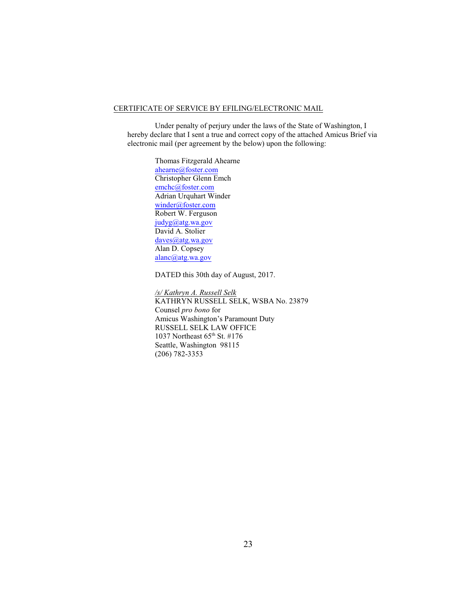#### CERTIFICATE OF SERVICE BY EFILING/ELECTRONIC MAIL

Under penalty of perjury under the laws of the State of Washington, I hereby declare that I sent a true and correct copy of the attached Amicus Brief via electronic mail (per agreement by the below) upon the following:

> Thomas Fitzgerald Ahearne [ahearne@foster.com](mailto:ahearne@foster.com) Christopher Glenn Emch [emchc@foster.com](mailto:emchc@foster.com) Adrian Urquhart Winder [winder@foster.com](mailto:winder@foster.com) Robert W. Ferguson [judyg@atg.wa.gov](mailto:judyg@atg.wa.gov) David A. Stolier [daves@atg.wa.gov](mailto:daves@atg.wa.gov) Alan D. Copsey [alanc@atg.wa.gov](mailto:alanc@atg.wa.gov)

DATED this 30th day of August, 2017.

*/s/ Kathryn A. Russell Selk* KATHRYN RUSSELL SELK, WSBA No. 23879 Counsel *pro bono* for Amicus Washington's Paramount Duty RUSSELL SELK LAW OFFICE 1037 Northeast 65<sup>th</sup> St. #176 Seattle, Washington 98115 (206) 782-3353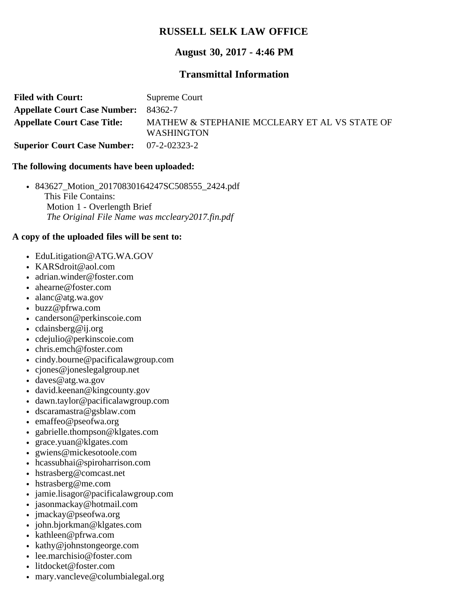## **RUSSELL SELK LAW OFFICE**

## **August 30, 2017 - 4:46 PM**

## **Transmittal Information**

| <b>Filed with Court:</b>                        | Supreme Court                                                      |
|-------------------------------------------------|--------------------------------------------------------------------|
| <b>Appellate Court Case Number: 84362-7</b>     |                                                                    |
| <b>Appellate Court Case Title:</b>              | MATHEW & STEPHANIE MCCLEARY ET AL VS STATE OF<br><b>WASHINGTON</b> |
| <b>Superior Court Case Number:</b> 07-2-02323-2 |                                                                    |

### **The following documents have been uploaded:**

843627\_Motion\_20170830164247SC508555\_2424.pdf This File Contains: Motion 1 - Overlength Brief *The Original File Name was mccleary2017.fin.pdf*

## **A copy of the uploaded files will be sent to:**

- EduLitigation@ATG.WA.GOV
- KARSdroit@aol.com
- adrian.winder@foster.com
- ahearne@foster.com
- alanc@atg.wa.gov
- buzz@pfrwa.com
- canderson@perkinscoie.com
- cdainsberg@ij.org
- cdejulio@perkinscoie.com
- chris.emch@foster.com
- cindy.bourne@pacificalawgroup.com
- cjones@joneslegalgroup.net
- daves@atg.wa.gov
- david.keenan@kingcounty.gov
- dawn.taylor@pacificalawgroup.com
- dscaramastra@gsblaw.com
- emaffeo@pseofwa.org
- gabrielle.thompson@klgates.com  $\bullet$
- grace.yuan@klgates.com
- gwiens@mickesotoole.com
- hcassubhai@spiroharrison.com
- hstrasberg@comcast.net
- hstrasberg@me.com
- jamie.lisagor@pacificalawgroup.com
- jasonmackay@hotmail.com
- jmackay@pseofwa.org
- john.bjorkman@klgates.com
- kathleen@pfrwa.com
- kathy@johnstongeorge.com
- lee.marchisio@foster.com
- litdocket@foster.com
- mary.vancleve@columbialegal.org